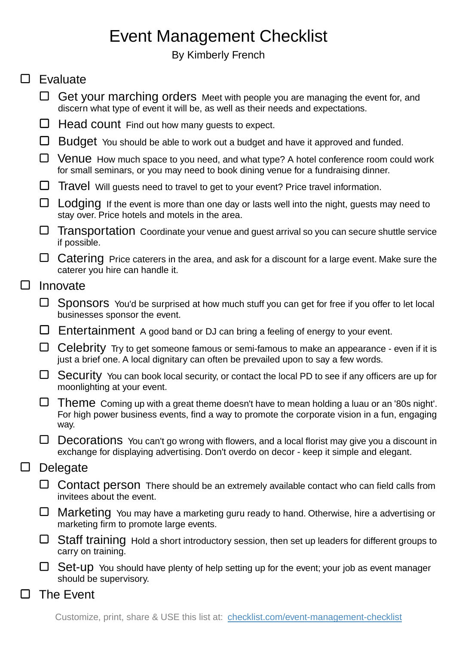## Event Management Checklist

By Kimberly French

## $\square$  Evaluate

- Get your marching orders Meet with people you are managing the event for, and discern what type of event it will be, as well as their needs and expectations.
- $\Box$  Head count Find out how many quests to expect.
- $\Box$  Budget You should be able to work out a budget and have it approved and funded.
- $\Box$  Venue How much space to you need, and what type? A hotel conference room could work for small seminars, or you may need to book dining venue for a fundraising dinner.
- $\Box$  Travel Will quests need to travel to get to your event? Price travel information.
- $\Box$  Lodging If the event is more than one day or lasts well into the night, guests may need to stay over. Price hotels and motels in the area.
- $\Box$  Transportation Coordinate your venue and quest arrival so you can secure shuttle service if possible.
- $\Box$  Catering Price caterers in the area, and ask for a discount for a large event. Make sure the caterer you hire can handle it.

## $\Box$ Innovate

- $\Box$  Sponsors You'd be surprised at how much stuff you can get for free if you offer to let local businesses sponsor the event.
- $\Box$  Entertainment A good band or DJ can bring a feeling of energy to your event.
- $\Box$  Celebrity Try to get someone famous or semi-famous to make an appearance even if it is just a brief one. A local dignitary can often be prevailed upon to say a few words.
- □ Security You can book local security, or contact the local PD to see if any officers are up for moonlighting at your event.
- $\Box$  Theme Coming up with a great theme doesn't have to mean holding a luau or an '80s night'. For high power business events, find a way to promote the corporate vision in a fun, engaging way.
- $\Box$  Decorations You can't go wrong with flowers, and a local florist may give you a discount in exchange for displaying advertising. Don't overdo on decor - keep it simple and elegant.

## $\Box$ **Delegate**

- $\Box$  Contact person There should be an extremely available contact who can field calls from invitees about the event.
- $\Box$  Marketing You may have a marketing guru ready to hand. Otherwise, hire a advertising or marketing firm to promote large events.
- $\Box$  Staff training Hold a short introductory session, then set up leaders for different groups to carry on training.
- $\Box$  Set-up You should have plenty of help setting up for the event; your job as event manager should be supervisory.
- The Event  $\Box$